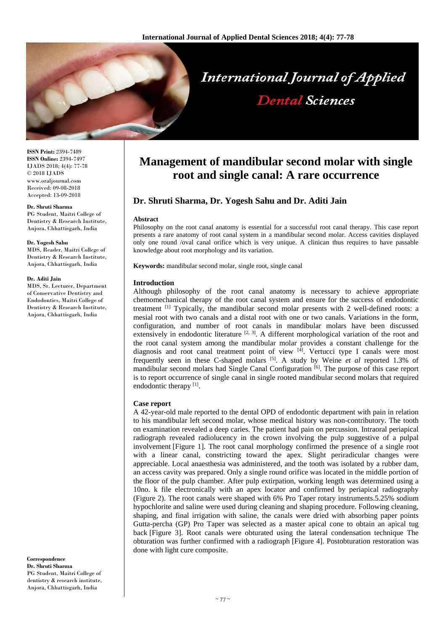

**ISSN Print:** 2394-7489 **ISSN Online:** 2394-7497 IJADS 2018; 4(4): 77-78 © 2018 IJADS www.oraljournal.com Received: 09-08-2018 Accepted: 13-09-2018

#### **Dr. Shruti Sharma**

PG Student, Maitri College of Dentistry & Research Institute, Anjora, Chhattisgarh, India

## **Dr. Yogesh Sahu**

MDS, Reader, Maitri College of Dentistry & Research Institute, Anjora, Chhattisgarh, India

#### **Dr. Aditi Jain**

MDS, Sr. Lecturer, Department of Conservative Dentistry and Endodontics, Maitri College of Dentistry & Research Institute, Anjora, Chhattisgarh, India

**Correspondence Dr. Shruti Sharma** PG Student, Maitri College of dentistry & research institute, Anjora, Chhattisgarh, India

# **Management of mandibular second molar with single root and single canal: A rare occurrence**

**Dental Sciences** 

# **Dr. Shruti Sharma, Dr. Yogesh Sahu and Dr. Aditi Jain**

## **Abstract**

Philosophy on the root canal anatomy is essential for a successful root canal therapy. This case report presents a rare anatomy of root canal system in a mandibular second molar. Access cavities displayed only one round /oval canal orifice which is very unique. A clinican thus requires to have passable knowledge about root morphology and its variation.

**Keywords:** mandibular second molar, single root, single canal

## **Introduction**

Although philosophy of the root canal anatomy is necessary to achieve appropriate chemomechanical therapy of the root canal system and ensure for the success of endodontic treatment [1] Typically, the mandibular second molar presents with 2 well-defined roots: a mesial root with two canals and a distal root with one or two canals. Variations in the form, configuration, and number of root canals in mandibular molars have been discussed extensively in endodontic literature  $[2, 3]$ . A different morphological variation of the root and the root canal system among the mandibular molar provides a constant challenge for the diagnosis and root canal treatment point of view [4] . Vertucci type I canals were most frequently seen in these C-shaped molars [5] . A study by Weine *et al* reported 1.3% of mandibular second molars had Single Canal Configuration<sup>[6]</sup>. The purpose of this case report is to report occurrence of single canal in single rooted mandibular second molars that required endodontic therapy [1].

## **Case report**

A 42-year-old male reported to the dental OPD of endodontic department with pain in relation to his mandibular left second molar, whose medical history was non-contributory. The tooth on examination revealed a deep caries. The patient had pain on percussion. Intraoral periapical radiograph revealed radiolucency in the crown involving the pulp suggestive of a pulpal involvement [Figure 1]. The root canal morphology confirmed the presence of a single root with a linear canal, constricting toward the apex. Slight periradicular changes were appreciable. Local anaesthesia was administered, and the tooth was isolated by a rubber dam, an access cavity was prepared. Only a single round orifice was located in the middle portion of the floor of the pulp chamber. After pulp extirpation, working length was determined using a 10no. k file electronically with an apex locator and confirmed by periapical radiography (Figure 2). The root canals were shaped with 6% Pro Taper rotary instruments.5.25% sodium hypochlorite and saline were used during cleaning and shaping procedure. Following cleaning, shaping, and final irrigation with saline, the canals were dried with absorbing paper points Gutta-percha (GP) Pro Taper was selected as a master apical cone to obtain an apical tug back [Figure 3]. Root canals were obturated using the lateral condensation technique The obturation was further confirmed with a radiograph [Figure 4]. Postobturation restoration was done with light cure composite.